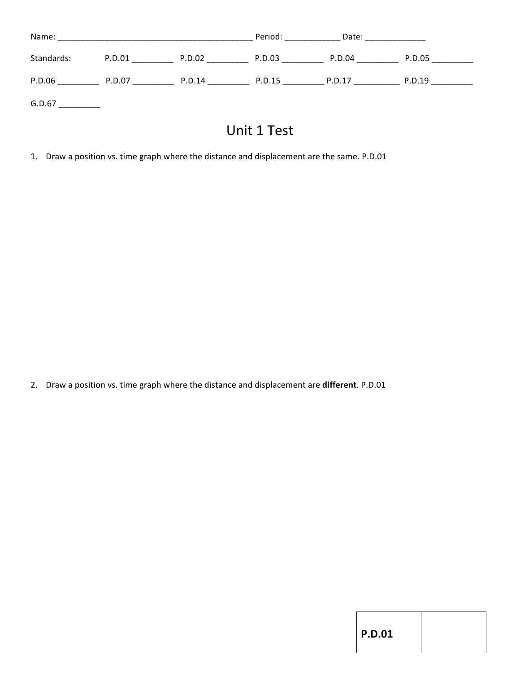| Name:      |        |        | Period: | Date:  |        |
|------------|--------|--------|---------|--------|--------|
| Standards: | P.D.01 | P.D.02 | P.D.03  | P.D.04 | P.D.05 |
| P.D.06     | P.D.07 | P.D.14 | P.D.15  | P.D.17 | P.D.19 |
| G.D.67     |        |        |         |        |        |

## Unit 1 Test

1. Draw a position vs. time graph where the distance and displacement are the same. P.D.01

2. Draw a position vs. time graph where the distance and displacement are **different**. P.D.01

|  |  | M.<br>۰. |  |
|--|--|----------|--|
|--|--|----------|--|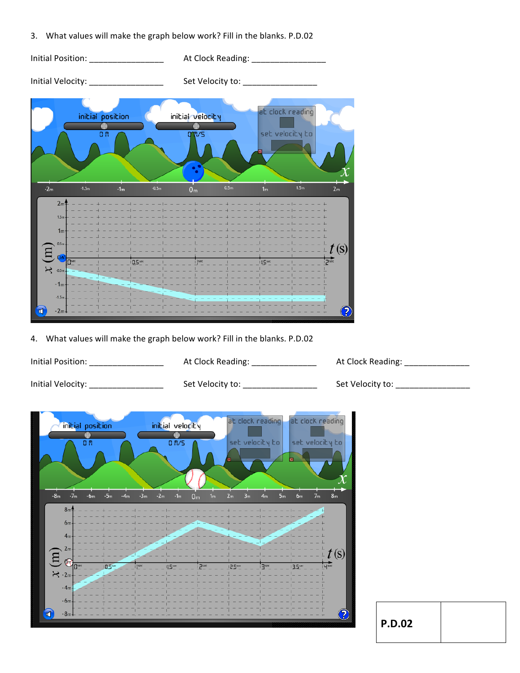3. What values will make the graph below work? Fill in the blanks. P.D.02

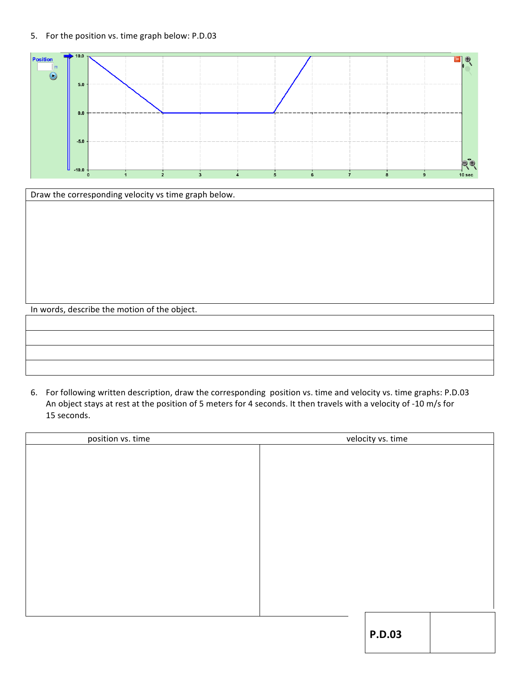## 5. For the position vs. time graph below: P.D.03





## 6. For following written description, draw the corresponding position vs. time and velocity vs. time graphs: P.D.03 An object stays at rest at the position of 5 meters for 4 seconds. It then travels with a velocity of -10 m/s for 15 seconds.

| position vs. time | velocity vs. time |
|-------------------|-------------------|
|                   |                   |
|                   |                   |
|                   |                   |
|                   |                   |
|                   |                   |
|                   |                   |
|                   |                   |
|                   |                   |
|                   |                   |
|                   |                   |
|                   |                   |
|                   |                   |
|                   |                   |
|                   | <b>P.D.03</b>     |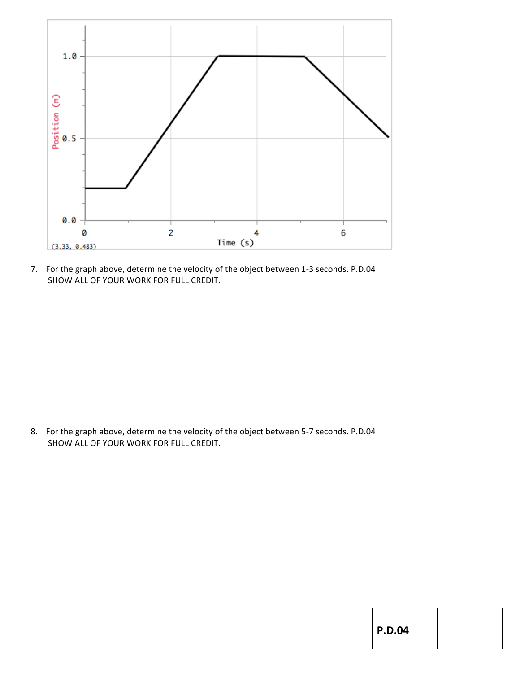

7. For the graph above, determine the velocity of the object between 1-3 seconds. P.D.04 SHOW ALL OF YOUR WORK FOR FULL CREDIT.

8. For the graph above, determine the velocity of the object between 5-7 seconds. P.D.04 SHOW ALL OF YOUR WORK FOR FULL CREDIT.

|  | ı | ۰. |
|--|---|----|
|--|---|----|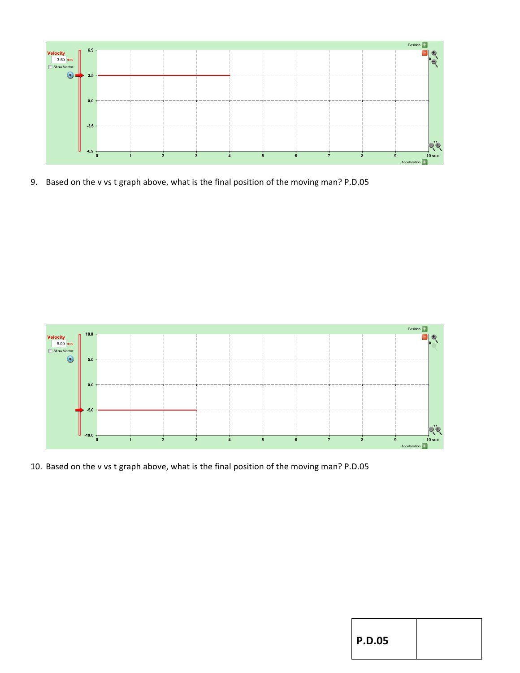

9. Based on the v vs t graph above, what is the final position of the moving man? P.D.05



10. Based on the v vs t graph above, what is the final position of the moving man? P.D.05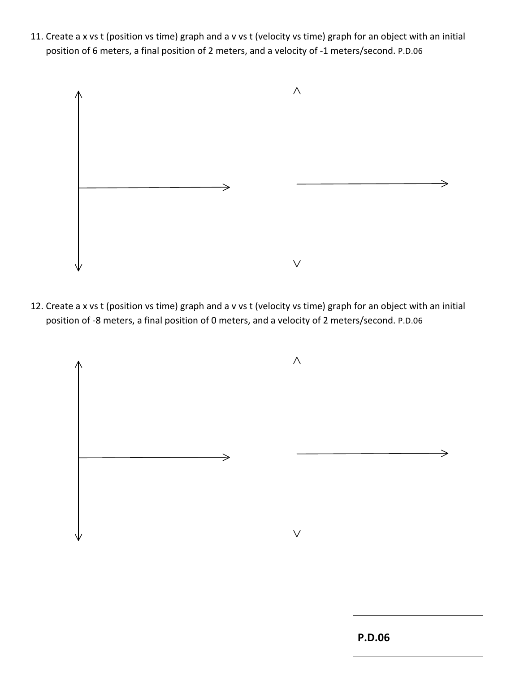11. Create a x vs t (position vs time) graph and a v vs t (velocity vs time) graph for an object with an initial position of 6 meters, a final position of 2 meters, and a velocity of -1 meters/second. P.D.06



12. Create a x vs t (position vs time) graph and a v vs t (velocity vs time) graph for an object with an initial position of -8 meters, a final position of 0 meters, and a velocity of 2 meters/second. P.D.06

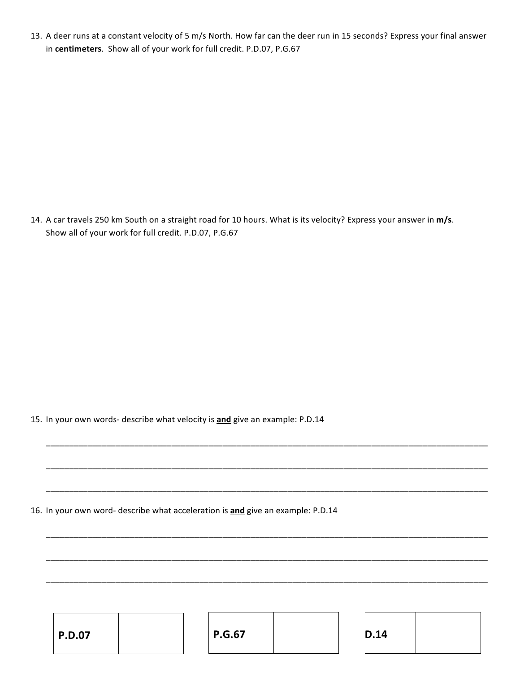13. A deer runs at a constant velocity of 5 m/s North. How far can the deer run in 15 seconds? Express your final answer in centimeters. Show all of your work for full credit. P.D.07, P.G.67

14. A car travels 250 km South on a straight road for 10 hours. What is its velocity? Express your answer in m/s. Show all of your work for full credit. P.D.07, P.G.67

15. In your own words- describe what velocity is **and** give an example: P.D.14

16. In your own word- describe what acceleration is **and** give an example: P.D.14

| <b>P.G.67</b><br>D.14<br><b>P.D.07</b> |  |
|----------------------------------------|--|
|----------------------------------------|--|

\_\_\_\_\_\_\_\_\_\_\_\_\_\_\_\_\_\_\_\_\_\_\_\_\_\_\_\_\_\_\_\_\_\_\_\_\_\_\_\_\_\_\_\_\_\_\_\_\_\_\_\_\_\_\_\_\_\_\_\_\_\_\_\_\_\_\_\_\_\_\_\_\_\_\_\_\_\_\_\_\_\_\_\_\_\_\_\_\_\_\_\_\_\_\_

\_\_\_\_\_\_\_\_\_\_\_\_\_\_\_\_\_\_\_\_\_\_\_\_\_\_\_\_\_\_\_\_\_\_\_\_\_\_\_\_\_\_\_\_\_\_\_\_\_\_\_\_\_\_\_\_\_\_\_\_\_\_\_\_\_\_\_\_\_\_\_\_\_\_\_\_\_\_\_\_\_\_\_\_\_\_\_\_\_\_\_\_\_\_\_

\_\_\_\_\_\_\_\_\_\_\_\_\_\_\_\_\_\_\_\_\_\_\_\_\_\_\_\_\_\_\_\_\_\_\_\_\_\_\_\_\_\_\_\_\_\_\_\_\_\_\_\_\_\_\_\_\_\_\_\_\_\_\_\_\_\_\_\_\_\_\_\_\_\_\_\_\_\_\_\_\_\_\_\_\_\_\_\_\_\_\_\_\_\_\_

\_\_\_\_\_\_\_\_\_\_\_\_\_\_\_\_\_\_\_\_\_\_\_\_\_\_\_\_\_\_\_\_\_\_\_\_\_\_\_\_\_\_\_\_\_\_\_\_\_\_\_\_\_\_\_\_\_\_\_\_\_\_\_\_\_\_\_\_\_\_\_\_\_\_\_\_\_\_\_\_\_\_\_\_\_\_\_\_\_\_\_\_\_\_\_

\_\_\_\_\_\_\_\_\_\_\_\_\_\_\_\_\_\_\_\_\_\_\_\_\_\_\_\_\_\_\_\_\_\_\_\_\_\_\_\_\_\_\_\_\_\_\_\_\_\_\_\_\_\_\_\_\_\_\_\_\_\_\_\_\_\_\_\_\_\_\_\_\_\_\_\_\_\_\_\_\_\_\_\_\_\_\_\_\_\_\_\_\_\_\_

\_\_\_\_\_\_\_\_\_\_\_\_\_\_\_\_\_\_\_\_\_\_\_\_\_\_\_\_\_\_\_\_\_\_\_\_\_\_\_\_\_\_\_\_\_\_\_\_\_\_\_\_\_\_\_\_\_\_\_\_\_\_\_\_\_\_\_\_\_\_\_\_\_\_\_\_\_\_\_\_\_\_\_\_\_\_\_\_\_\_\_\_\_\_\_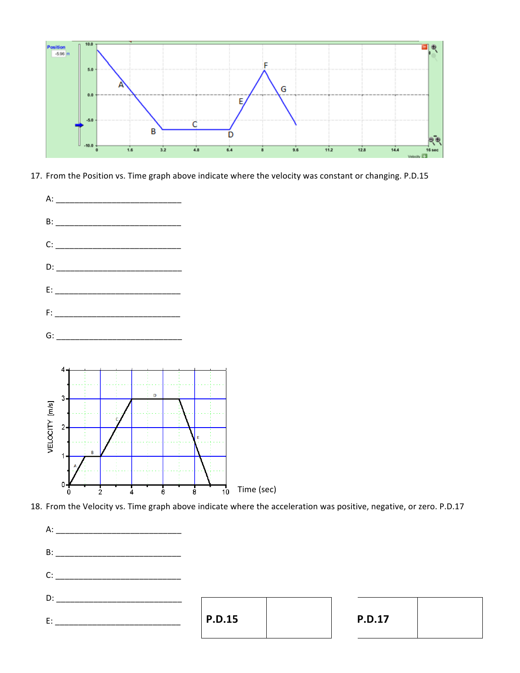

17. From the Position vs. Time graph above indicate where the velocity was constant or changing. P.D.15



18. From the Velocity vs. Time graph above indicate where the acceleration was positive, negative, or zero. P.D.17